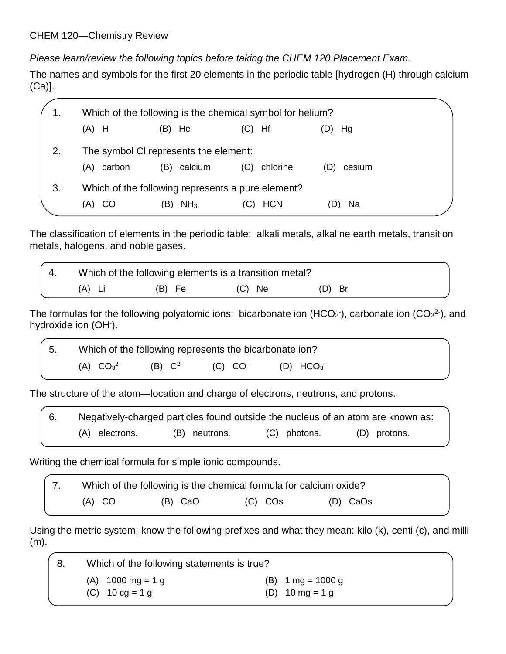*Please learn/review the following topics before taking the CHEM 120 Placement Exam.*

The names and symbols for the first 20 elements in the periodic table [hydrogen (H) through calcium (Ca)].

|    | Which of the following is the chemical symbol for helium? |                                                   |                 |               |  |
|----|-----------------------------------------------------------|---------------------------------------------------|-----------------|---------------|--|
|    | $(A)$ H                                                   | $(B)$ He                                          | Hf<br>(C)       | Hg            |  |
|    | The symbol CI represents the element:                     |                                                   |                 |               |  |
|    | carbon<br>(A)                                             | calcium<br>(B)                                    | chlorine<br>(C) | cesium<br>(D) |  |
| 3. |                                                           | Which of the following represents a pure element? |                 |               |  |
|    | (A) CO                                                    | NH <sub>3</sub><br>(B)                            | <b>HCN</b>      | - Na          |  |

The classification of elements in the periodic table: alkali metals, alkaline earth metals, transition metals, halogens, and noble gases.

|        | Which of the following elements is a transition metal? |          |          |
|--------|--------------------------------------------------------|----------|----------|
| (A) Li | (B) Fe                                                 | $(C)$ Ne | $(D)$ Br |

The formulas for the following polyatomic ions: bicarbonate ion (HCO<sub>3</sub>), carbonate ion (CO<sub>3</sub><sup>2</sup>), and hydroxide ion (OH).

5. Which of the following represents the bicarbonate ion?  $(A) CO<sub>3</sub><sup>2</sup>$ (B)  $C^{2-}$  $(C)$   $CO<sup>-</sup>$ (D)  $HCO_3^-$ 

The structure of the atom—location and charge of electrons, neutrons, and protons.

| Negatively-charged particles found outside the nucleus of an atom are known as: |               |              |              |
|---------------------------------------------------------------------------------|---------------|--------------|--------------|
| (A) electrons.                                                                  | (B) neutrons. | (C) photons. | (D) protons. |

Writing the chemical formula for simple ionic compounds.

| Which of the following is the chemical formula for calcium oxide? |         |         |          |  |
|-------------------------------------------------------------------|---------|---------|----------|--|
| $(A)$ CO                                                          | (B) CaO | (C) COs | (D) CaOs |  |

Using the metric system; know the following prefixes and what they mean: kilo (k), centi (c), and milli (m).

| -8. | Which of the following statements is true?                               |                                                                          |  |  |  |
|-----|--------------------------------------------------------------------------|--------------------------------------------------------------------------|--|--|--|
|     | (A) $1000 \text{ mg} = 1 \text{ g}$<br>(C) $10 \text{ cg} = 1 \text{ g}$ | (B) $1 \text{ mg} = 1000 \text{ g}$<br>(D) $10 \text{ mg} = 1 \text{ g}$ |  |  |  |